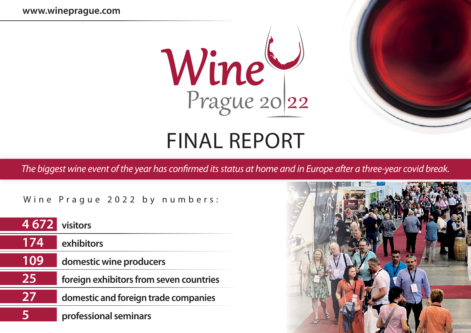

## FINAL REPORT

The biggest wine event of the year has confirmed its status at home and in Europe after a three-year covid break.

Wine Prague 2022 by numbers:

| 4 672 visitors |                                         |
|----------------|-----------------------------------------|
| 174            | exhibitors                              |
| 109            | domestic wine producers                 |
| 25             | foreign exhibitors from seven countries |
| 27             | domestic and foreign trade companies    |
|                | professional seminars                   |

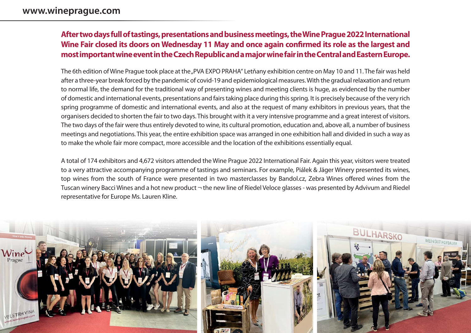## **After two days full of tastings, presentations and business meetings, the Wine Prague 2022 International**  Wine Fair closed its doors on Wednesday 11 May and once again confirmed its role as the largest and **most important wine event in the Czech Republic and a major wine fair in the Central and Eastern Europe.**

The 6th edition of Wine Prague took place at the "PVA EXPO PRAHA" Letňany exhibition centre on May 10 and 11. The fair was held after a three-year break forced by the pandemic of covid-19 and epidemiological measures. With the gradual relaxation and return to normal life, the demand for the traditional way of presenting wines and meeting clients is huge, as evidenced by the number of domestic and international events, presentations and fairs taking place during this spring. It is precisely because of the very rich spring programme of domestic and international events, and also at the request of many exhibitors in previous years, that the organisers decided to shorten the fair to two days. This brought with it a very intensive programme and a great interest of visitors. The two days of the fair were thus entirely devoted to wine, its cultural promotion, education and, above all, a number of business meetings and negotiations. This year, the entire exhibition space was arranged in one exhibition hall and divided in such a way as to make the whole fair more compact, more accessible and the location of the exhibitions essentially equal.

A total of 174 exhibitors and 4,672 visitors attended the Wine Prague 2022 International Fair. Again this year, visitors were treated to a very attractive accompanying programme of tastings and seminars. For example, Piálek & Jäger Winery presented its wines, top wines from the south of France were presented in two masterclasses by Bandol.cz, Zebra Wines offered wines from the Tuscan winery Bacci Wines and a hot new product  $\neg$  the new line of Riedel Veloce glasses - was presented by Advivum and Riedel representative for Europe Ms. Lauren Kline.

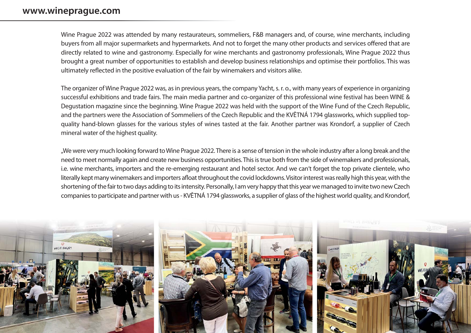## **www.wineprague.com**

Wine Prague 2022 was attended by many restaurateurs, sommeliers, F&B managers and, of course, wine merchants, including buyers from all major supermarkets and hypermarkets. And not to forget the many other products and services offered that are directly related to wine and gastronomy. Especially for wine merchants and gastronomy professionals, Wine Prague 2022 thus brought a great number of opportunities to establish and develop business relationships and optimise their portfolios. This was ultimately reflected in the positive evaluation of the fair by winemakers and visitors alike.

The organizer of Wine Prague 2022 was, as in previous years, the company Yacht, s. r. o., with many years of experience in organizing successful exhibitions and trade fairs. The main media partner and co-organizer of this professional wine festival has been WINE & Degustation magazine since the beginning. Wine Prague 2022 was held with the support of the Wine Fund of the Czech Republic, and the partners were the Association of Sommeliers of the Czech Republic and the KVĚTNÁ 1794 glassworks, which supplied topquality hand-blown glasses for the various styles of wines tasted at the fair. Another partner was Krondorf, a supplier of Czech mineral water of the highest quality.

"We were very much looking forward to Wine Prague 2022. There is a sense of tension in the whole industry after a long break and the need to meet normally again and create new business opportunities. This is true both from the side of winemakers and professionals, i.e. wine merchants, importers and the re-emerging restaurant and hotel sector. And we can't forget the top private clientele, who literally kept many winemakers and importers afloat throughout the covid lockdowns. Visitor interest was really high this year, with the shortening of the fair to two days adding to its intensity. Personally, I am very happy that this year we managed to invite two new Czech companies to participate and partner with us - KVĚTNÁ 1794 glassworks, a supplier of glass of the highest world quality, and Krondorf,